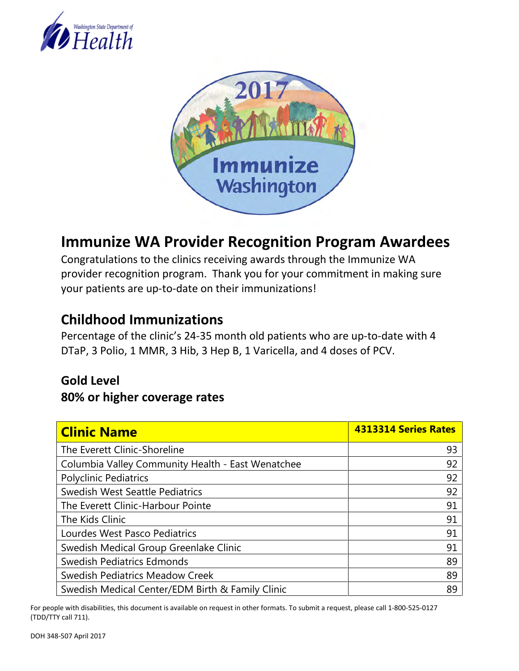



# **Immunize WA Provider Recognition Program Awardees**

Congratulations to the clinics receiving awards through the Immunize WA provider recognition program. Thank you for your commitment in making sure your patients are up-to-date on their immunizations!

### **Childhood Immunizations**

Percentage of the clinic's 24-35 month old patients who are up-to-date with 4 DTaP, 3 Polio, 1 MMR, 3 Hib, 3 Hep B, 1 Varicella, and 4 doses of PCV.

#### **Gold Level**

#### **80% or higher coverage rates**

| <b>Clinic Name</b>                                | 4313314 Series Rates |
|---------------------------------------------------|----------------------|
| The Everett Clinic-Shoreline                      | 93                   |
| Columbia Valley Community Health - East Wenatchee | 92                   |
| <b>Polyclinic Pediatrics</b>                      | 92                   |
| <b>Swedish West Seattle Pediatrics</b>            | 92                   |
| The Everett Clinic-Harbour Pointe                 | 91                   |
| The Kids Clinic                                   | 91                   |
| Lourdes West Pasco Pediatrics                     | 91                   |
| Swedish Medical Group Greenlake Clinic            | 91                   |
| Swedish Pediatrics Edmonds                        | 89                   |
| <b>Swedish Pediatrics Meadow Creek</b>            | 89                   |
| Swedish Medical Center/EDM Birth & Family Clinic  | 89                   |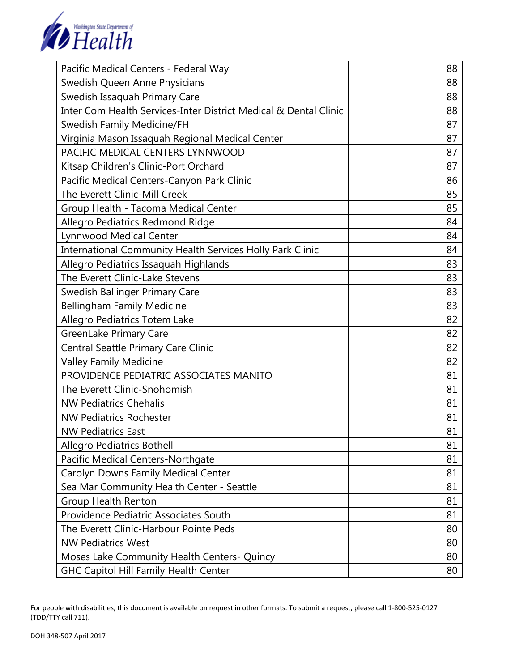

| Pacific Medical Centers - Federal Way                            | 88 |
|------------------------------------------------------------------|----|
| Swedish Queen Anne Physicians                                    | 88 |
| Swedish Issaquah Primary Care                                    | 88 |
| Inter Com Health Services-Inter District Medical & Dental Clinic | 88 |
| Swedish Family Medicine/FH                                       | 87 |
| Virginia Mason Issaquah Regional Medical Center                  | 87 |
| PACIFIC MEDICAL CENTERS LYNNWOOD                                 | 87 |
| Kitsap Children's Clinic-Port Orchard                            | 87 |
| Pacific Medical Centers-Canyon Park Clinic                       | 86 |
| The Everett Clinic-Mill Creek                                    | 85 |
| Group Health - Tacoma Medical Center                             | 85 |
| Allegro Pediatrics Redmond Ridge                                 | 84 |
| <b>Lynnwood Medical Center</b>                                   | 84 |
| International Community Health Services Holly Park Clinic        | 84 |
| Allegro Pediatrics Issaquah Highlands                            | 83 |
| The Everett Clinic-Lake Stevens                                  | 83 |
| Swedish Ballinger Primary Care                                   | 83 |
| <b>Bellingham Family Medicine</b>                                | 83 |
| Allegro Pediatrics Totem Lake                                    | 82 |
| <b>GreenLake Primary Care</b>                                    | 82 |
| Central Seattle Primary Care Clinic                              | 82 |
| <b>Valley Family Medicine</b>                                    | 82 |
| PROVIDENCE PEDIATRIC ASSOCIATES MANITO                           | 81 |
| The Everett Clinic-Snohomish                                     | 81 |
| <b>NW Pediatrics Chehalis</b>                                    | 81 |
| <b>NW Pediatrics Rochester</b>                                   | 81 |
| <b>NW Pediatrics East</b>                                        | 81 |
| Allegro Pediatrics Bothell                                       | 81 |
| Pacific Medical Centers-Northgate                                | 81 |
| Carolyn Downs Family Medical Center                              | 81 |
| Sea Mar Community Health Center - Seattle                        | 81 |
| <b>Group Health Renton</b>                                       | 81 |
| Providence Pediatric Associates South                            | 81 |
| The Everett Clinic-Harbour Pointe Peds                           | 80 |
| <b>NW Pediatrics West</b>                                        | 80 |
| Moses Lake Community Health Centers- Quincy                      | 80 |
| <b>GHC Capitol Hill Family Health Center</b>                     | 80 |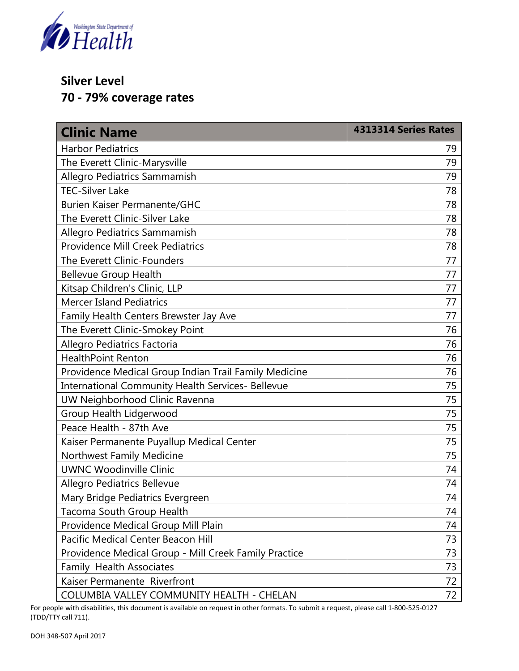

### **Silver Level**

**70 - 79% coverage rates** 

| <b>Clinic Name</b>                                       | 4313314 Series Rates |
|----------------------------------------------------------|----------------------|
| <b>Harbor Pediatrics</b>                                 | 79                   |
| The Everett Clinic-Marysville                            | 79                   |
| Allegro Pediatrics Sammamish                             | 79                   |
| <b>TEC-Silver Lake</b>                                   | 78                   |
| Burien Kaiser Permanente/GHC                             | 78                   |
| The Everett Clinic-Silver Lake                           | 78                   |
| Allegro Pediatrics Sammamish                             | 78                   |
| <b>Providence Mill Creek Pediatrics</b>                  | 78                   |
| The Everett Clinic-Founders                              | 77                   |
| <b>Bellevue Group Health</b>                             | 77                   |
| Kitsap Children's Clinic, LLP                            | 77                   |
| <b>Mercer Island Pediatrics</b>                          | 77                   |
| Family Health Centers Brewster Jay Ave                   | 77                   |
| The Everett Clinic-Smokey Point                          | 76                   |
| Allegro Pediatrics Factoria                              | 76                   |
| <b>HealthPoint Renton</b>                                | 76                   |
| Providence Medical Group Indian Trail Family Medicine    | 76                   |
| <b>International Community Health Services- Bellevue</b> | 75                   |
| UW Neighborhood Clinic Ravenna                           | 75                   |
| Group Health Lidgerwood                                  | 75                   |
| Peace Health - 87th Ave                                  | 75                   |
| Kaiser Permanente Puyallup Medical Center                | 75                   |
| Northwest Family Medicine                                | 75                   |
| <b>UWNC Woodinville Clinic</b>                           | 74                   |
| Allegro Pediatrics Bellevue                              | 74                   |
| Mary Bridge Pediatrics Evergreen                         | 74                   |
| Tacoma South Group Health                                | 74                   |
| Providence Medical Group Mill Plain                      | 74                   |
| Pacific Medical Center Beacon Hill                       | 73                   |
| Providence Medical Group - Mill Creek Family Practice    | 73                   |
| Family Health Associates                                 | 73                   |
| Kaiser Permanente Riverfront                             | 72                   |
| COLUMBIA VALLEY COMMUNITY HEALTH - CHELAN                | 72                   |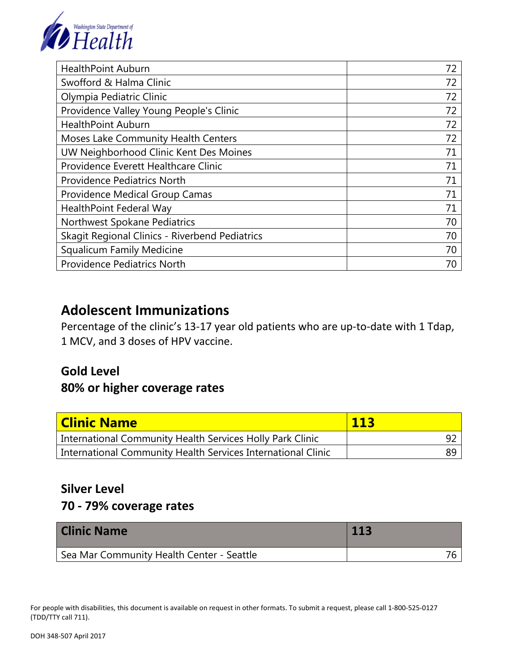

| <b>HealthPoint Auburn</b>                      | 72 |
|------------------------------------------------|----|
| Swofford & Halma Clinic                        | 72 |
| Olympia Pediatric Clinic                       | 72 |
| Providence Valley Young People's Clinic        | 72 |
| <b>HealthPoint Auburn</b>                      | 72 |
| Moses Lake Community Health Centers            | 72 |
| UW Neighborhood Clinic Kent Des Moines         | 71 |
| Providence Everett Healthcare Clinic           | 71 |
| <b>Providence Pediatrics North</b>             | 71 |
| Providence Medical Group Camas                 | 71 |
| HealthPoint Federal Way                        | 71 |
| Northwest Spokane Pediatrics                   | 70 |
| Skagit Regional Clinics - Riverbend Pediatrics | 70 |
| <b>Squalicum Family Medicine</b>               | 70 |
| <b>Providence Pediatrics North</b>             | 70 |

### **Adolescent Immunizations**

Percentage of the clinic's 13-17 year old patients who are up-to-date with 1 Tdap, 1 MCV, and 3 doses of HPV vaccine.

## **Gold Level 80% or higher coverage rates**

| <b>Clinic Name</b>                                           | 113 |
|--------------------------------------------------------------|-----|
| International Community Health Services Holly Park Clinic    | -92 |
| International Community Health Services International Clinic | 89  |

#### **Silver Level**

### **70 - 79% coverage rates**

| <b>Clinic Name</b>                        | 113 |
|-------------------------------------------|-----|
| Sea Mar Community Health Center - Seattle |     |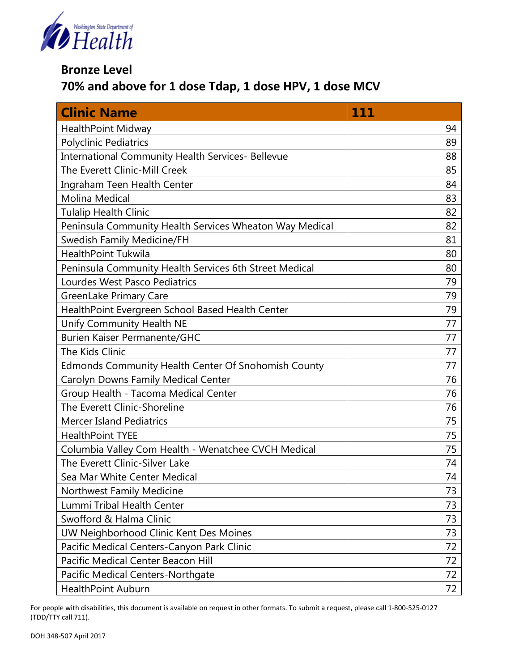

**Bronze Level** 

**70% and above for 1 dose Tdap, 1 dose HPV, 1 dose MCV**

| <b>Clinic Name</b>                                      | <u> 111</u> |
|---------------------------------------------------------|-------------|
| <b>HealthPoint Midway</b>                               | 94          |
| <b>Polyclinic Pediatrics</b>                            | 89          |
| International Community Health Services- Bellevue       | 88          |
| The Everett Clinic-Mill Creek                           | 85          |
| Ingraham Teen Health Center                             | 84          |
| <b>Molina Medical</b>                                   | 83          |
| <b>Tulalip Health Clinic</b>                            | 82          |
| Peninsula Community Health Services Wheaton Way Medical | 82          |
| Swedish Family Medicine/FH                              | 81          |
| <b>HealthPoint Tukwila</b>                              | 80          |
| Peninsula Community Health Services 6th Street Medical  | 80          |
| Lourdes West Pasco Pediatrics                           | 79          |
| <b>GreenLake Primary Care</b>                           | 79          |
| HealthPoint Evergreen School Based Health Center        | 79          |
| Unify Community Health NE                               | 77          |
| <b>Burien Kaiser Permanente/GHC</b>                     | 77          |
| <b>The Kids Clinic</b>                                  | 77          |
| Edmonds Community Health Center Of Snohomish County     | 77          |
| Carolyn Downs Family Medical Center                     | 76          |
| Group Health - Tacoma Medical Center                    | 76          |
| The Everett Clinic-Shoreline                            | 76          |
| <b>Mercer Island Pediatrics</b>                         | 75          |
| <b>HealthPoint TYEE</b>                                 | 75          |
| Columbia Valley Com Health - Wenatchee CVCH Medical     | 75          |
| The Everett Clinic-Silver Lake                          | 74          |
| Sea Mar White Center Medical                            | 74          |
| Northwest Family Medicine                               | 73          |
| Lummi Tribal Health Center                              | 73          |
| Swofford & Halma Clinic                                 | 73          |
| UW Neighborhood Clinic Kent Des Moines                  | 73          |
| Pacific Medical Centers-Canyon Park Clinic              | 72          |
| Pacific Medical Center Beacon Hill                      | 72          |
| Pacific Medical Centers-Northgate                       | 72          |
| <b>HealthPoint Auburn</b>                               | 72          |